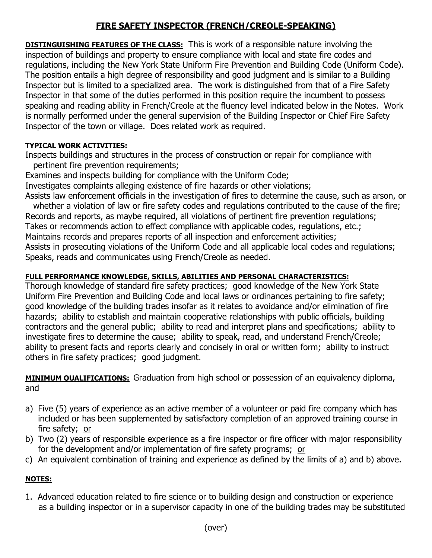# **FIRE SAFETY INSPECTOR (FRENCH/CREOLE-SPEAKING)**

**DISTINGUISHING FEATURES OF THE CLASS:** This is work of a responsible nature involving the inspection of buildings and property to ensure compliance with local and state fire codes and regulations, including the New York State Uniform Fire Prevention and Building Code (Uniform Code). The position entails a high degree of responsibility and good judgment and is similar to a Building Inspector but is limited to a specialized area. The work is distinguished from that of a Fire Safety Inspector in that some of the duties performed in this position require the incumbent to possess speaking and reading ability in French/Creole at the fluency level indicated below in the Notes. Work is normally performed under the general supervision of the Building Inspector or Chief Fire Safety Inspector of the town or village. Does related work as required.

#### **TYPICAL WORK ACTIVITIES:**

Inspects buildings and structures in the process of construction or repair for compliance with pertinent fire prevention requirements;

Examines and inspects building for compliance with the Uniform Code; Investigates complaints alleging existence of fire hazards or other violations; Assists law enforcement officials in the investigation of fires to determine the cause, such as arson, or

 whether a violation of law or fire safety codes and regulations contributed to the cause of the fire; Records and reports, as maybe required, all violations of pertinent fire prevention regulations; Takes or recommends action to effect compliance with applicable codes, regulations, etc.; Maintains records and prepares reports of all inspection and enforcement activities; Assists in prosecuting violations of the Uniform Code and all applicable local codes and regulations; Speaks, reads and communicates using French/Creole as needed.

## **FULL PERFORMANCE KNOWLEDGE, SKILLS, ABILITIES AND PERSONAL CHARACTERISTICS:**

Thorough knowledge of standard fire safety practices; good knowledge of the New York State Uniform Fire Prevention and Building Code and local laws or ordinances pertaining to fire safety; good knowledge of the building trades insofar as it relates to avoidance and/or elimination of fire hazards; ability to establish and maintain cooperative relationships with public officials, building contractors and the general public; ability to read and interpret plans and specifications; ability to investigate fires to determine the cause; ability to speak, read, and understand French/Creole; ability to present facts and reports clearly and concisely in oral or written form; ability to instruct others in fire safety practices; good judgment.

**MINIMUM QUALIFICATIONS:** Graduation from high school or possession of an equivalency diploma, and

- a) Five (5) years of experience as an active member of a volunteer or paid fire company which has included or has been supplemented by satisfactory completion of an approved training course in fire safety; or
- b) Two (2) years of responsible experience as a fire inspector or fire officer with major responsibility for the development and/or implementation of fire safety programs; or
- c) An equivalent combination of training and experience as defined by the limits of a) and b) above.

# **NOTES:**

1. Advanced education related to fire science or to building design and construction or experience as a building inspector or in a supervisor capacity in one of the building trades may be substituted